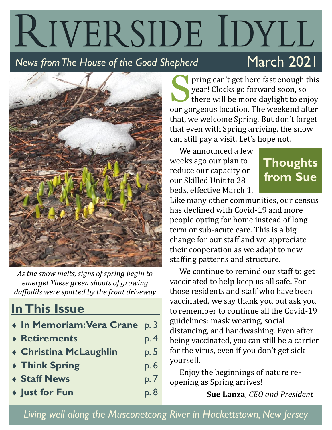### RIVERSIDE IDYLL March 2021 *News from The House of the Good Shepherd*



*As the snow melts, signs of spring begin to emerge! These green shoots of growing daffodils were spotted by the front driveway*

### **In This Issue**

|  | • In Memoriam: Vera Crane p. 3 |  |  |
|--|--------------------------------|--|--|
|  |                                |  |  |

- **Retirements** p. 4
- **Christina McLaughlin** p. 5
- **Think Spring** p. 6
- **Staff News** p. 7
- **Just for Fun** p. 8

S pring can't get here fast enough this year! Clocks go forward soon, so there will be more daylight to enjoy our gorgeous location. The weekend after that, we welcome Spring. But don't forget that even with Spring arriving, the snow can still pay a visit. Let's hope not.

We announced a few weeks ago our plan to reduce our capacity on our Skilled Unit to 28 beds, effective March 1.

### **Thoughts from Sue**

Like many other communities, our census has declined with Covid-19 and more people opting for home instead of long term or sub-acute care. This is a big change for our staff and we appreciate their cooperation as we adapt to new staffing patterns and structure.

We continue to remind our staff to get vaccinated to help keep us all safe. For those residents and staff who have been vaccinated, we say thank you but ask you to remember to continue all the Covid-19 guidelines: mask wearing, social distancing, and handwashing. Even after being vaccinated, you can still be a carrier for the virus, even if you don't get sick yourself.

Enjoy the beginnings of nature reopening as Spring arrives!

**Sue Lanza**, *CEO and President*

*Living well along the Musconetcong River in Hackettstown, New Jersey*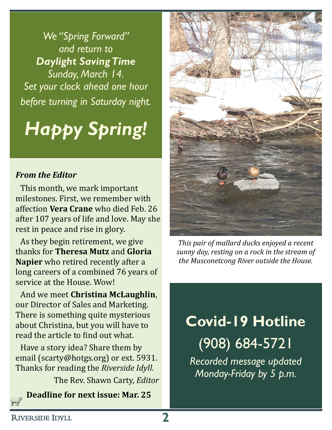*We "Spring Forward" and return to Daylight Saving Time Sunday, March 14. Set your clock ahead one hour before turning in Saturday night.*

## *Happy Spring!*

### *From the Editor*

This month, we mark important milestones. First, we remember with affection **Vera Crane** who died Feb. 26 after 107 years of life and love. May she rest in peace and rise in glory.

As they begin retirement, we give thanks for **Theresa Mutz** and **Gloria Napier** who retired recently after a long careers of a combined 76 years of service at the House. Wow!

And we meet **Christina McLaughlin**, our Director of Sales and Marketing. There is something quite mysterious about Christina, but you will have to read the article to find out what.

Have a story idea? Share them by email (scarty@hotgs.org) or ext. 5931. Thanks for reading the *Riverside Idyll.*

The Rev. Shawn Carty, *Editor*

**Deadline for next issue: Mar. 25**



*This pair of mallard ducks enjoyed a recent sunny day, resting on a rock in the stream of the Musconetcong River outside the House.*

### **Covid-19 Hotline** (908) 684-5721

*Recorded message updated Monday-Friday by 5 p.m.*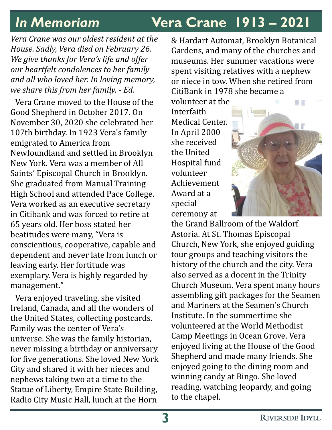### *In Memoriam* **Vera Crane 1913 – 2021**

*Vera Crane was our oldest resident at the House. Sadly, Vera died on February 26. We give thanks for Vera's life and offer our heartfelt condolences to her family and all who loved her. In loving memory, we share this from her family. - Ed.*

Vera Crane moved to the House of the Good Shepherd in October 2017. On November 30, 2020 she celebrated her 107th birthday. In 1923 Vera's family emigrated to America from Newfoundland and settled in Brooklyn New York. Vera was a member of All Saints' Episcopal Church in Brooklyn. She graduated from Manual Training High School and attended Pace College. Vera worked as an executive secretary in Citibank and was forced to retire at 65 years old. Her boss stated her beatitudes were many, "Vera is conscientious, cooperative, capable and dependent and never late from lunch or leaving early. Her fortitude was exemplary. Vera is highly regarded by management."

Vera enjoyed traveling, she visited Ireland, Canada, and all the wonders of the United States, collecting postcards. Family was the center of Vera's universe. She was the family historian, never missing a birthday or anniversary for five generations. She loved New York City and shared it with her nieces and nephews taking two at a time to the Statue of Liberty, Empire State Building, Radio City Music Hall, lunch at the Horn

& Hardart Automat, Brooklyn Botanical Gardens, and many of the churches and museums. Her summer vacations were spent visiting relatives with a nephew or niece in tow. When she retired from CitiBank in 1978 she became a

volunteer at the Interfaith Medical Center. In April 2000 she received the United Hospital fund volunteer Achievement Award at a special ceremony at



the Grand Ballroom of the Waldorf Astoria. At St. Thomas Episcopal Church, New York, she enjoyed guiding tour groups and teaching visitors the history of the church and the city. Vera also served as a docent in the Trinity Church Museum. Vera spent many hours assembling gift packages for the Seamen and Mariners at the Seamen's Church Institute. In the summertime she volunteered at the World Methodist Camp Meetings in Ocean Grove. Vera enjoyed living at the House of the Good Shepherd and made many friends. She enjoyed going to the dining room and winning candy at Bingo. She loved reading, watching Jeopardy, and going to the chapel.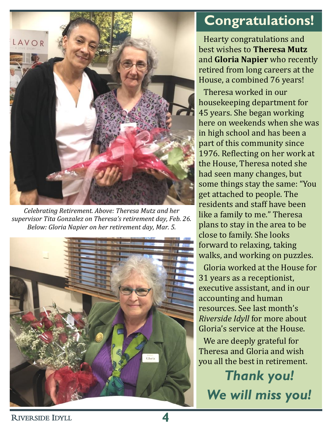

*Celebrating Retirement. Above: Theresa Mutz and her supervisor Tita Gonzalez on Theresa's retirement day, Feb. 26. Below: Gloria Napier on her retirement day, Mar. 5.*



### **Congratulations!**

Hearty congratulations and best wishes to **Theresa Mutz** and **Gloria Napier** who recently retired from long careers at the House, a combined 76 years!

Theresa worked in our housekeeping department for 45 years. She began working here on weekends when she was in high school and has been a part of this community since 1976. Reflecting on her work at the House, Theresa noted she had seen many changes, but some things stay the same: "You get attached to people. The residents and staff have been like a family to me." Theresa plans to stay in the area to be close to family. She looks forward to relaxing, taking walks, and working on puzzles.

Gloria worked at the House for 31 years as a receptionist, executive assistant, and in our accounting and human resources. See last month's *Riverside Idyll* for more about Gloria's service at the House.

We are deeply grateful for Theresa and Gloria and wish you all the best in retirement.

*Thank you! We will miss you!*

<sup>R</sup>IVERSIDE IDYLL **4**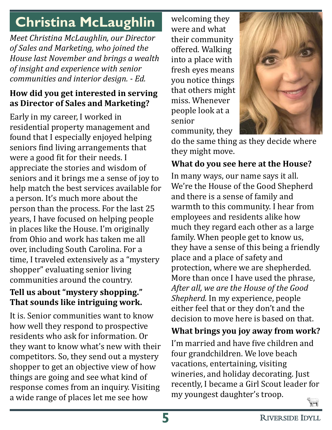### **Christina McLaughlin**

*Meet Christina McLaughlin, our Director of Sales and Marketing, who joined the House last November and brings a wealth of insight and experience with senior communities and interior design. - Ed.*

### **How did you get interested in serving as Director of Sales and Marketing?**

Early in my career, I worked in residential property management and found that I especially enjoyed helping seniors find living arrangements that were a good fit for their needs. I appreciate the stories and wisdom of seniors and it brings me a sense of joy to help match the best services available for a person. It's much more about the person than the process. For the last 25 years, I have focused on helping people in places like the House. I'm originally from Ohio and work has taken me all over, including South Carolina. For a time, I traveled extensively as a "mystery shopper" evaluating senior living communities around the country.

### **Tell us about "mystery shopping." That sounds like intriguing work.**

It is. Senior communities want to know how well they respond to prospective residents who ask for information. Or they want to know what's new with their competitors. So, they send out a mystery shopper to get an objective view of how things are going and see what kind of response comes from an inquiry. Visiting a wide range of places let me see how

welcoming they were and what their community offered. Walking into a place with fresh eyes means you notice things that others might miss. Whenever people look at a senior community, they



do the same thing as they decide where they might move.

### **What do you see here at the House?**

In many ways, our name says it all. We're the House of the Good Shepherd and there is a sense of family and warmth to this community. I hear from employees and residents alike how much they regard each other as a large family. When people get to know us, they have a sense of this being a friendly place and a place of safety and protection, where we are shepherded. More than once I have used the phrase, *After all, we are the House of the Good Shepherd.* In my experience, people either feel that or they don't and the decision to move here is based on that.

### **What brings you joy away from work?**

I'm married and have five children and four grandchildren. We love beach vacations, entertaining, visiting wineries, and holiday decorating. Just recently, I became a Girl Scout leader for my youngest daughter's troop.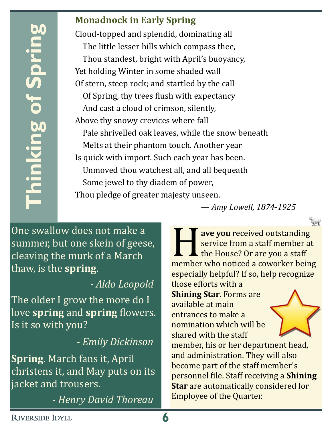# **Thinking of Spring** hinking of Sprin

### **Monadnock in Early Spring**

Cloud-topped and splendid, dominating all The little lesser hills which compass thee, Thou standest, bright with April's buoyancy, Yet holding Winter in some shaded wall Of stern, steep rock; and startled by the call Of Spring, thy trees flush with expectancy And cast a cloud of crimson, silently, Above thy snowy crevices where fall Pale shrivelled oak leaves, while the snow beneath Melts at their phantom touch. Another year Is quick with import. Such each year has been. Unmoved thou watchest all, and all bequeath Some jewel to thy diadem of power, Thou pledge of greater majesty unseen.

One swallow does not make a summer, but one skein of geese, cleaving the murk of a March thaw, is the **spring**.

### *- Aldo Leopold*

The older I grow the more do I love **spring** and **spring** flowers. Is it so with you?

### *- Emily Dickinson*

**Spring**. March fans it, April christens it, and May puts on its jacket and trousers.

*- Henry David Thoreau*

*— Amy Lowell, 1874-1925*

**Example 12 ave you received outstanding**<br>service from a staff member at<br>the House? Or are you a staff<br>member who noticed a coworker being **ave you** received outstanding service from a staff member at the House? Or are you a staff especially helpful? If so, help recognize those efforts with a **Shining Star**. Forms are available at main entrances to make a nomination which will be shared with the staff member, his or her department head, and administration. They will also become part of the staff member's personnel file. Staff receiving a **Shining Star** are automatically considered for Employee of the Quarter.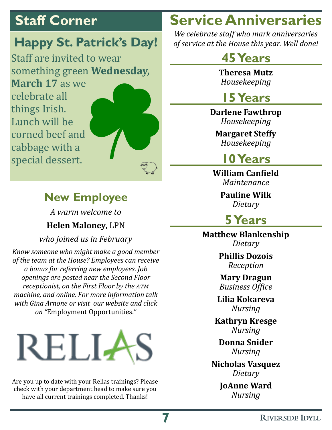cabbage with a

special dessert.

### **Happy St. Patrick's Day!**

Staff are invited to wear something green **Wednesday, March 17** as we celebrate all things Irish. Lunch will be corned beef and

### **New Employee**

*A warm welcome to* **Helen Maloney**, LPN

*who joined us in February*

*Know someone who might make a good member of the team at the House? Employees can receive a bonus for referring new employees. Job openings are posted near the Second Floor receptionist, on the First Floor by the atm machine, and online. For more information talk with Gina Arnone or visit our website and click on "*Employment Opportunities."

# RELI4

Are you up to date with your Relias trainings? Please check with your department head to make sure you have all current trainings completed. Thanks!

### **Staff Corner Service Anniversaries**

*We celebrate staff who mark anniversaries of service at the House this year. Well done!*

### **45 Years**

**Theresa Mutz** *Housekeeping*

### **15 Years**

**Darlene Fawthrop** *Housekeeping*

**Margaret Steffy** *Housekeeping*

### **10 Years**

**William Canfield** *Maintenance*

> **Pauline Wilk** *Dietary*

### **5 Years**

**Matthew Blankenship** *Dietary*

> **Phillis Dozois** *Reception*

> **Mary Dragun** *Business Office*

**Lilia Kokareva** *Nursing*

**Kathryn Kresge** *Nursing*

**Donna Snider** *Nursing*

**Nicholas Vasquez** *Dietary*

> **JoAnne Ward** *Nursing*